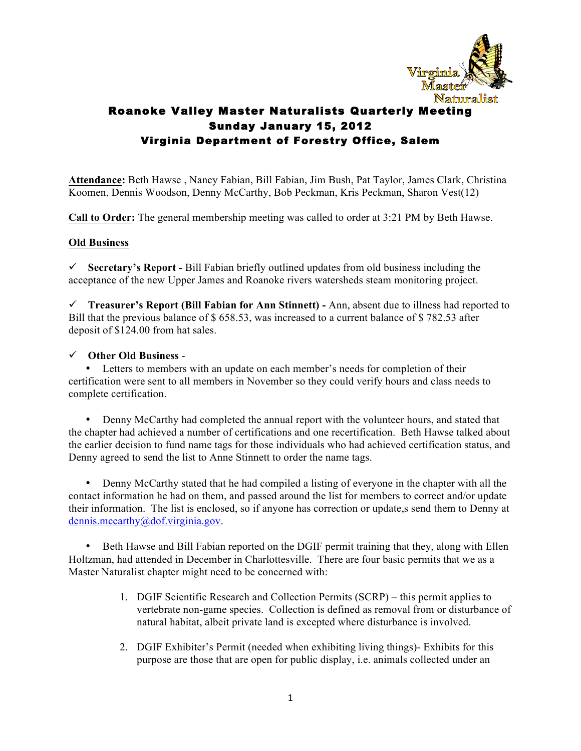

**Attendance:** Beth Hawse , Nancy Fabian, Bill Fabian, Jim Bush, Pat Taylor, James Clark, Christina Koomen, Dennis Woodson, Denny McCarthy, Bob Peckman, Kris Peckman, Sharon Vest(12)

**Call to Order:** The general membership meeting was called to order at 3:21 PM by Beth Hawse.

### **Old Business**

ü **Secretary's Report -** Bill Fabian briefly outlined updates from old business including the acceptance of the new Upper James and Roanoke rivers watersheds steam monitoring project.

ü **Treasurer's Report (Bill Fabian for Ann Stinnett) -** Ann, absent due to illness had reported to Bill that the previous balance of \$ 658.53, was increased to a current balance of \$ 782.53 after deposit of \$124.00 from hat sales.

#### ü **Other Old Business** -

• Letters to members with an update on each member's needs for completion of their certification were sent to all members in November so they could verify hours and class needs to complete certification.

• Denny McCarthy had completed the annual report with the volunteer hours, and stated that the chapter had achieved a number of certifications and one recertification. Beth Hawse talked about the earlier decision to fund name tags for those individuals who had achieved certification status, and Denny agreed to send the list to Anne Stinnett to order the name tags.

• Denny McCarthy stated that he had compiled a listing of everyone in the chapter with all the contact information he had on them, and passed around the list for members to correct and/or update their information. The list is enclosed, so if anyone has correction or update,s send them to Denny at dennis.mccarthy@dof.virginia.gov.

• Beth Hawse and Bill Fabian reported on the DGIF permit training that they, along with Ellen Holtzman, had attended in December in Charlottesville. There are four basic permits that we as a Master Naturalist chapter might need to be concerned with:

- 1. DGIF Scientific Research and Collection Permits (SCRP) this permit applies to vertebrate non-game species. Collection is defined as removal from or disturbance of natural habitat, albeit private land is excepted where disturbance is involved.
- 2. DGIF Exhibiter's Permit (needed when exhibiting living things)- Exhibits for this purpose are those that are open for public display, i.e. animals collected under an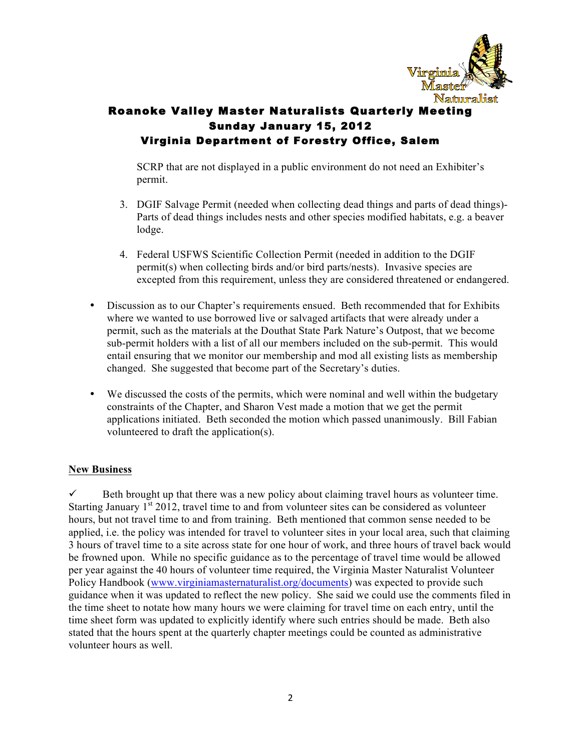

SCRP that are not displayed in a public environment do not need an Exhibiter's permit.

- 3. DGIF Salvage Permit (needed when collecting dead things and parts of dead things)- Parts of dead things includes nests and other species modified habitats, e.g. a beaver lodge.
- 4. Federal USFWS Scientific Collection Permit (needed in addition to the DGIF permit(s) when collecting birds and/or bird parts/nests). Invasive species are excepted from this requirement, unless they are considered threatened or endangered.
- Discussion as to our Chapter's requirements ensued. Beth recommended that for Exhibits where we wanted to use borrowed live or salvaged artifacts that were already under a permit, such as the materials at the Douthat State Park Nature's Outpost, that we become sub-permit holders with a list of all our members included on the sub-permit. This would entail ensuring that we monitor our membership and mod all existing lists as membership changed. She suggested that become part of the Secretary's duties.
- We discussed the costs of the permits, which were nominal and well within the budgetary constraints of the Chapter, and Sharon Vest made a motion that we get the permit applications initiated. Beth seconded the motion which passed unanimously. Bill Fabian volunteered to draft the application(s).

### **New Business**

ü Beth brought up that there was a new policy about claiming travel hours as volunteer time. Starting January  $1<sup>st</sup> 2012$ , travel time to and from volunteer sites can be considered as volunteer hours, but not travel time to and from training. Beth mentioned that common sense needed to be applied, i.e. the policy was intended for travel to volunteer sites in your local area, such that claiming 3 hours of travel time to a site across state for one hour of work, and three hours of travel back would be frowned upon. While no specific guidance as to the percentage of travel time would be allowed per year against the 40 hours of volunteer time required, the Virginia Master Naturalist Volunteer Policy Handbook (www.virginiamasternaturalist.org/documents) was expected to provide such guidance when it was updated to reflect the new policy. She said we could use the comments filed in the time sheet to notate how many hours we were claiming for travel time on each entry, until the time sheet form was updated to explicitly identify where such entries should be made. Beth also stated that the hours spent at the quarterly chapter meetings could be counted as administrative volunteer hours as well.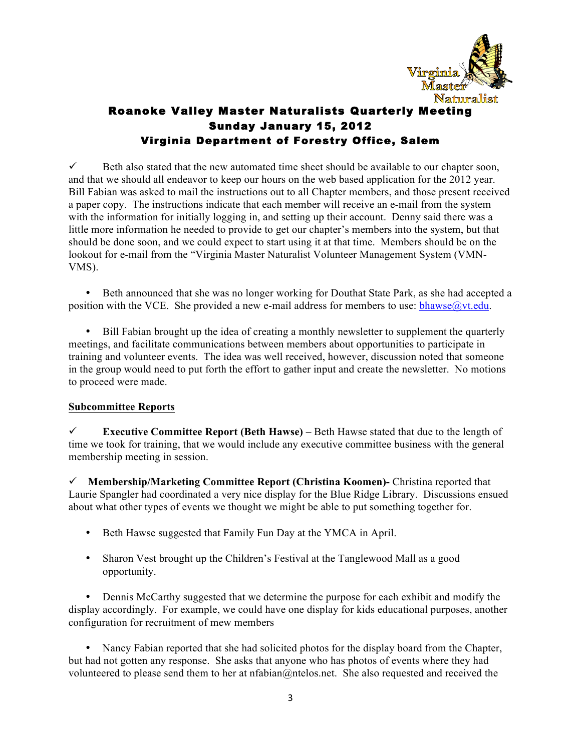

 $\checkmark$  Beth also stated that the new automated time sheet should be available to our chapter soon, and that we should all endeavor to keep our hours on the web based application for the 2012 year. Bill Fabian was asked to mail the instructions out to all Chapter members, and those present received a paper copy. The instructions indicate that each member will receive an e-mail from the system with the information for initially logging in, and setting up their account. Denny said there was a little more information he needed to provide to get our chapter's members into the system, but that should be done soon, and we could expect to start using it at that time. Members should be on the lookout for e-mail from the "Virginia Master Naturalist Volunteer Management System (VMN-VMS).

• Beth announced that she was no longer working for Douthat State Park, as she had accepted a position with the VCE. She provided a new e-mail address for members to use:  $b$ hawse $@$ vt.edu.

• Bill Fabian brought up the idea of creating a monthly newsletter to supplement the quarterly meetings, and facilitate communications between members about opportunities to participate in training and volunteer events. The idea was well received, however, discussion noted that someone in the group would need to put forth the effort to gather input and create the newsletter. No motions to proceed were made.

### **Subcommittee Reports**

Executive Committee Report (Beth Hawse) – Beth Hawse stated that due to the length of time we took for training, that we would include any executive committee business with the general membership meeting in session.

ü **Membership/Marketing Committee Report (Christina Koomen)-** Christina reported that Laurie Spangler had coordinated a very nice display for the Blue Ridge Library. Discussions ensued about what other types of events we thought we might be able to put something together for.

- Beth Hawse suggested that Family Fun Day at the YMCA in April.
- Sharon Vest brought up the Children's Festival at the Tanglewood Mall as a good opportunity.

• Dennis McCarthy suggested that we determine the purpose for each exhibit and modify the display accordingly. For example, we could have one display for kids educational purposes, another configuration for recruitment of mew members

• Nancy Fabian reported that she had solicited photos for the display board from the Chapter, but had not gotten any response. She asks that anyone who has photos of events where they had volunteered to please send them to her at nfabian@ntelos.net. She also requested and received the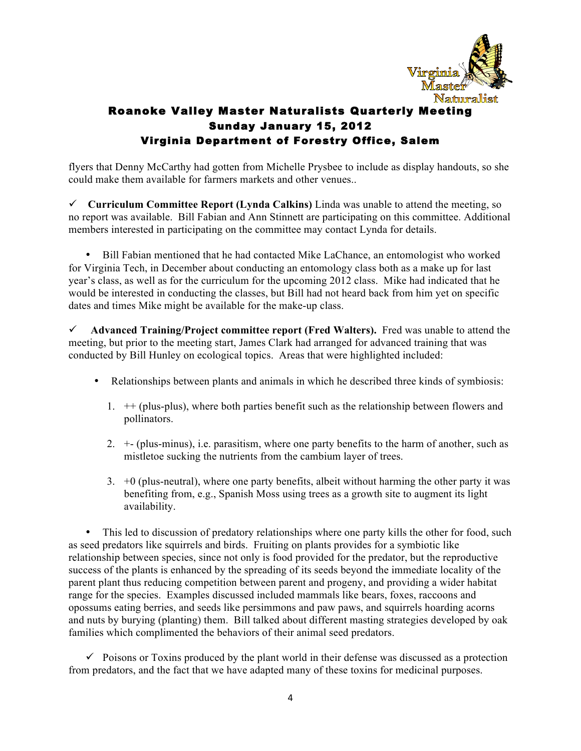

flyers that Denny McCarthy had gotten from Michelle Prysbee to include as display handouts, so she could make them available for farmers markets and other venues..

ü **Curriculum Committee Report (Lynda Calkins)** Linda was unable to attend the meeting, so no report was available. Bill Fabian and Ann Stinnett are participating on this committee. Additional members interested in participating on the committee may contact Lynda for details.

• Bill Fabian mentioned that he had contacted Mike LaChance, an entomologist who worked for Virginia Tech, in December about conducting an entomology class both as a make up for last year's class, as well as for the curriculum for the upcoming 2012 class. Mike had indicated that he would be interested in conducting the classes, but Bill had not heard back from him yet on specific dates and times Mike might be available for the make-up class.

ü **Advanced Training/Project committee report (Fred Walters).** Fred was unable to attend the meeting, but prior to the meeting start, James Clark had arranged for advanced training that was conducted by Bill Hunley on ecological topics. Areas that were highlighted included:

- Relationships between plants and animals in which he described three kinds of symbiosis:
	- 1. ++ (plus-plus), where both parties benefit such as the relationship between flowers and pollinators.
	- 2. +- (plus-minus), i.e. parasitism, where one party benefits to the harm of another, such as mistletoe sucking the nutrients from the cambium layer of trees.
	- $3. +0$  (plus-neutral), where one party benefits, albeit without harming the other party it was benefiting from, e.g., Spanish Moss using trees as a growth site to augment its light availability.

• This led to discussion of predatory relationships where one party kills the other for food, such as seed predators like squirrels and birds. Fruiting on plants provides for a symbiotic like relationship between species, since not only is food provided for the predator, but the reproductive success of the plants is enhanced by the spreading of its seeds beyond the immediate locality of the parent plant thus reducing competition between parent and progeny, and providing a wider habitat range for the species. Examples discussed included mammals like bears, foxes, raccoons and opossums eating berries, and seeds like persimmons and paw paws, and squirrels hoarding acorns and nuts by burying (planting) them. Bill talked about different masting strategies developed by oak families which complimented the behaviors of their animal seed predators.

 $\checkmark$  Poisons or Toxins produced by the plant world in their defense was discussed as a protection from predators, and the fact that we have adapted many of these toxins for medicinal purposes.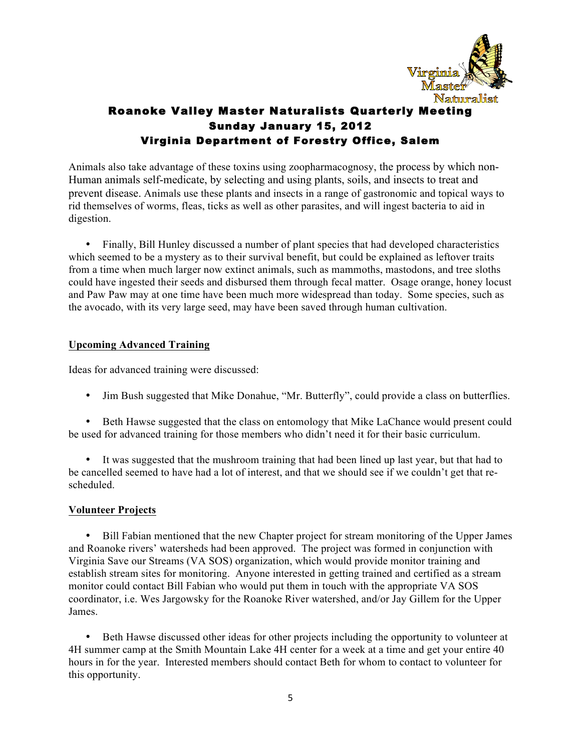

Animals also take advantage of these toxins using zoopharmacognosy, the process by which non-Human animals self-medicate, by selecting and using plants, soils, and insects to treat and prevent disease. Animals use these plants and insects in a range of gastronomic and topical ways to rid themselves of worms, fleas, ticks as well as other parasites, and will ingest bacteria to aid in digestion.

• Finally, Bill Hunley discussed a number of plant species that had developed characteristics which seemed to be a mystery as to their survival benefit, but could be explained as leftover traits from a time when much larger now extinct animals, such as mammoths, mastodons, and tree sloths could have ingested their seeds and disbursed them through fecal matter. Osage orange, honey locust and Paw Paw may at one time have been much more widespread than today. Some species, such as the avocado, with its very large seed, may have been saved through human cultivation.

### **Upcoming Advanced Training**

Ideas for advanced training were discussed:

• Jim Bush suggested that Mike Donahue, "Mr. Butterfly", could provide a class on butterflies.

• Beth Hawse suggested that the class on entomology that Mike LaChance would present could be used for advanced training for those members who didn't need it for their basic curriculum.

• It was suggested that the mushroom training that had been lined up last year, but that had to be cancelled seemed to have had a lot of interest, and that we should see if we couldn't get that rescheduled.

### **Volunteer Projects**

• Bill Fabian mentioned that the new Chapter project for stream monitoring of the Upper James and Roanoke rivers' watersheds had been approved. The project was formed in conjunction with Virginia Save our Streams (VA SOS) organization, which would provide monitor training and establish stream sites for monitoring. Anyone interested in getting trained and certified as a stream monitor could contact Bill Fabian who would put them in touch with the appropriate VA SOS coordinator, i.e. Wes Jargowsky for the Roanoke River watershed, and/or Jay Gillem for the Upper James.

• Beth Hawse discussed other ideas for other projects including the opportunity to volunteer at 4H summer camp at the Smith Mountain Lake 4H center for a week at a time and get your entire 40 hours in for the year. Interested members should contact Beth for whom to contact to volunteer for this opportunity.